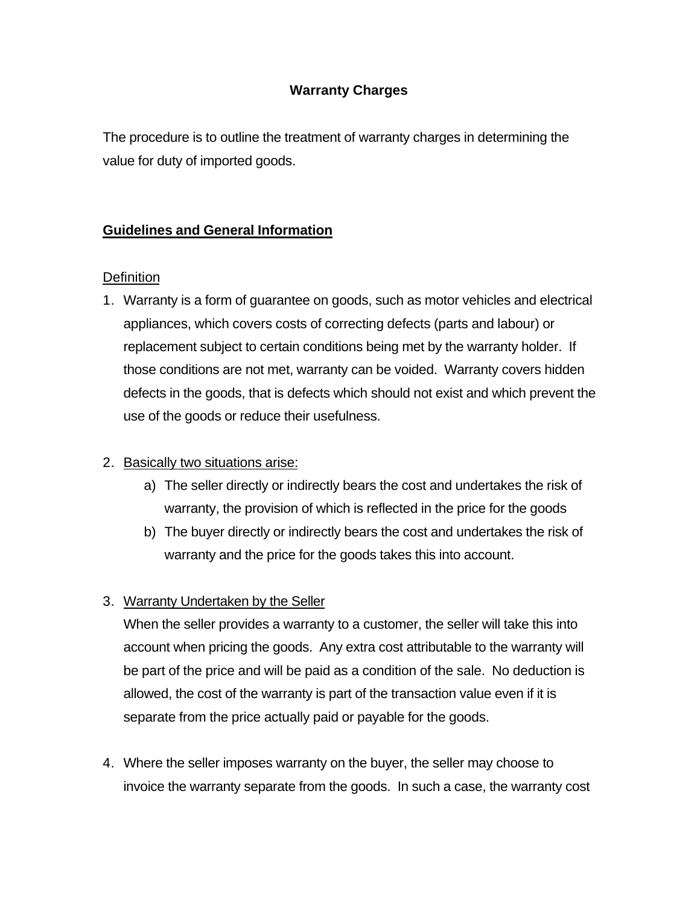# **Warranty Charges**

The procedure is to outline the treatment of warranty charges in determining the value for duty of imported goods.

# **Guidelines and General Information**

### **Definition**

1. Warranty is a form of guarantee on goods, such as motor vehicles and electrical appliances, which covers costs of correcting defects (parts and labour) or replacement subject to certain conditions being met by the warranty holder. If those conditions are not met, warranty can be voided. Warranty covers hidden defects in the goods, that is defects which should not exist and which prevent the use of the goods or reduce their usefulness.

### 2. Basically two situations arise:

- a) The seller directly or indirectly bears the cost and undertakes the risk of warranty, the provision of which is reflected in the price for the goods
- b) The buyer directly or indirectly bears the cost and undertakes the risk of warranty and the price for the goods takes this into account.
- 3. Warranty Undertaken by the Seller

When the seller provides a warranty to a customer, the seller will take this into account when pricing the goods. Any extra cost attributable to the warranty will be part of the price and will be paid as a condition of the sale. No deduction is allowed, the cost of the warranty is part of the transaction value even if it is separate from the price actually paid or payable for the goods.

4. Where the seller imposes warranty on the buyer, the seller may choose to invoice the warranty separate from the goods. In such a case, the warranty cost